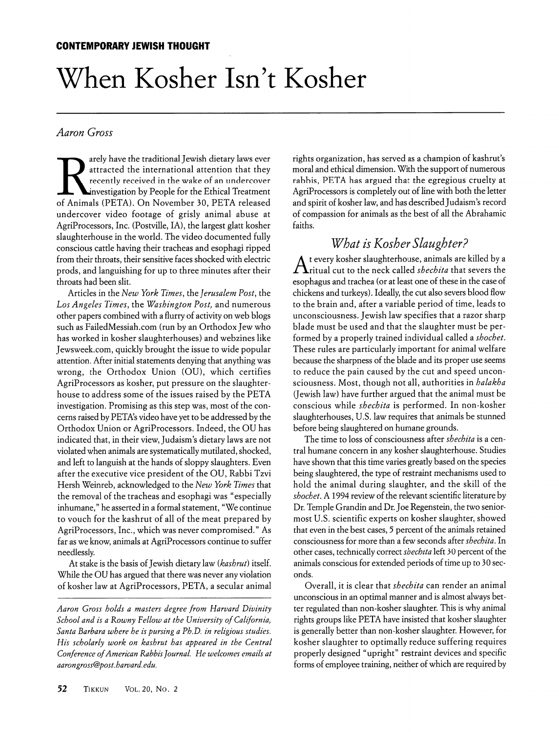# When Kosher Isn't Kosher

### Aaron Gross

arely have the traditional Jewish dietary laws ever attracted the international attention that they recently received in the wake of an undercover investigation by People for the Ethical Treatment of Animals (PETA). On November 30, PETA released undercover video footage of grisly animal abuse at AgriProcessors, Inc. (Postville, IA), the largest glatt kosher slaughterhouse in the world. The video documented fully conscious cattle having their tracheas and esophagi ripped from their throats, their sensitive faces shocked with electric prods, and languishing for up to three minutes after their throats had been slit.

Articles in the New York Times, the Jerusalem Post, the Los Angeles Times, the Washington Post, and numerous other papers combined with a flurry of activity on web blogs such as FailedMessiah.com (run by an Orthodox Jew who has worked in kosher slaughterhouses) and webzines like Jewsweek.com, quickly brought the issue to wide popular attention. After initial statements denying that anything was wrong, the Orthodox Union (OU), which certifies AgriProcessors as kosher, put pressure on the slaughter house to address some of the issues raised by the PETA investigation. Promising as this step was, most of the con cerns raised by PETA's video have yet to be addressed by the Orthodox Union or AgriProcessors. Indeed, the OU has indicated that, in their view, Judaism's dietary laws are not violated when animals are systematically mutilated, shocked, and left to languish at the hands of sloppy slaughters. Even after the executive vice president of the OU, Rabbi Tzvi Hersh Weinreb, acknowledged to the New York Times that the removal of the tracheas and esophagi was "especially inhumane," he asserted in a formal statement, "We continue to vouch for the kashrut of all of the meat prepared by AgriProcessors, Inc., which was never compromised." As far as we know, animals at AgriProcessors continue to suffer needlessly.

At stake is the basis of Jewish dietary law (kashrut) itself. While the OU has argued that there was never any violation of kosher law at AgriProcessors, PETA, a secular animal

Aaron Gross holds a masters degree from Harvard Divinity School and is a Rowny Fellow at the University of California, Santa Barbara where he is pursing a Ph.D. in religious studies. His scholarly work on kashrut has appeared in the Central Conference of American Rabbis Journal. He welcomes emails at aarongross@post. harvard, edu.

rights organization, has served as a champion of kashrut's moral and ethical dimension. With the support of numerous rabbis, PETA has argued that the egregious cruelty at AgriProcessors is completely out of line with both the letter and spirit of kosher law, and has described Judaism's record of compassion for animals as the best of all the Abrahamic faiths.

## What is Kosher Slaughter?

 $\Lambda$  t every kosher slaughterhouse, animals are killed by a ritual cut to the neck called *shechita* that severs the esophagus and trachea (or at least one of these in the case of chickens and turkeys). Ideally, the cut also severs blood flow to the brain and, after a variable period of time, leads to unconsciousness. Jewish law specifies that a razor sharp blade must be used and that the slaughter must be per formed by a properly trained individual called a shochet. These rules are particularly important for animal welfare because the sharpness of the blade and its proper use seems to reduce the pain caused by the cut and speed uncon sciousness. Most, though not all, authorities in *halakha* (Jewish law) have further argued that the animal must be conscious while shechita is performed. In non-kosher slaughterhouses, U.S. law requires that animals be stunned before being slaughtered on humane grounds.

The time to loss of consciousness after shechita is a central humane concern in any kosher slaughterhouse. Studies have shown that this time varies greatly based on the species being slaughtered, the type of restraint mechanisms used to hold the animal during slaughter, and the skill of the shochet. A 1994 review of the relevant scientific literature by Dr. Temple Grandin and Dr. Joe Regenstein, the two seniormost U.S. scientific experts on kosher slaughter, showed that even in the best cases, 5 percent of the animals retained consciousness for more than a few seconds after shechita. In other cases, technically correct shechita left 30 percent of the animals conscious for extended periods of time up to 30 sec onds.

Overall, it is clear that shechita can render an animal unconscious in an optimal manner and is almost always bet ter regulated than non-kosher slaughter. This is why animal rights groups like PETA have insisted that kosher slaughter is generally better than non-kosher slaughter. However, for kosher slaughter to optimally reduce suffering requires properly designed "upright" restraint devices and specific forms of employee training, neither of which are required by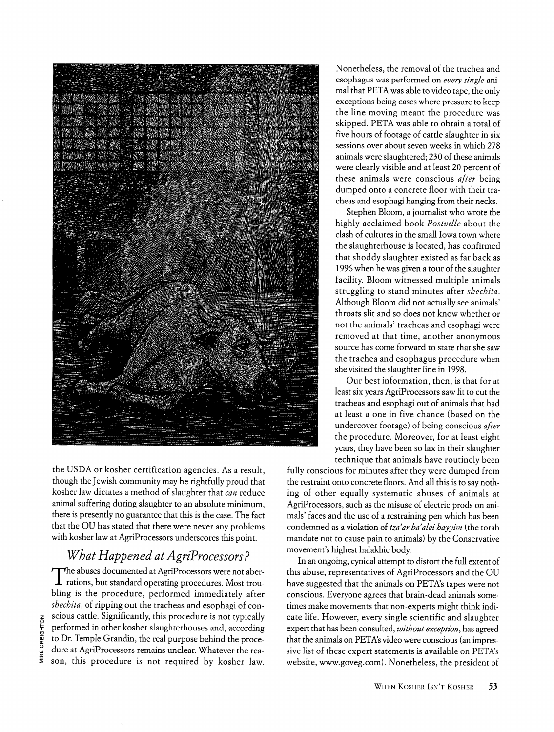

the USDA or kosher certification agencies. As a result, though the Jewish community may be rightfully proud that kosher law dictates a method of slaughter that can reduce animal suffering during slaughter to an absolute minimum, there is presently no guarantee that this is the case. The fact that the OU has stated that there were never any problems with kosher law at AgriProcessors underscores this point.

# What Happened at AgriProcessors?

The abuses documented at AgriProcessors were not aber-JL rations, but standard operating procedures. Most trou bling is the procedure, performed immediately after shechita, of ripping out the tracheas and esophagi of conscious cattle. Significantly, this procedure is not typically performed in other kosher slaughterhouses and, according to Dr. Temple Grandin, the real purpose behind the proce dure at AgriProcessors remains unclear. Whatever the rea son, this procedure is not required by kosher law.

Nonetheless, the removal of the trachea and esophagus was performed on every single animal that PETA was able to video tape, the only exceptions being cases where pressure to keep the line moving meant the procedure was skipped. PETA was able to obtain a total of five hours of footage of cattle slaughter in six sessions over about seven weeks in which 278 animals were slaughtered; 230 of these animals were clearly visible and at least 20 percent of these animals were conscious after being dumped onto a concrete floor with their tra cheas and esophagi hanging from their necks.

Stephen Bloom, a journalist who wrote the highly acclaimed book Postville about the clash of cultures in the small Iowa town where the slaughterhouse is located, has confirmed that shoddy slaughter existed as far back as 1996 when he was given a tour of the slaughter facility. Bloom witnessed multiple animals struggling to stand minutes after shechita. Although Bloom did not actually see animals' throats slit and so does not know whether or not the animals' tracheas and esophagi were removed at that time, another anonymous source has come forward to state that she saw the trachea and esophagus procedure when she visited the slaughter line in 1998.

Our best information, then, is that for at least six years AgriProcessors saw fit to cut the tracheas and esophagi out of animals that had at least a one in five chance (based on the undercover footage) of being conscious after the procedure. Moreover, for at least eight years, they have been so lax in their slaughter technique that animals have routinely been

fully conscious for minutes after they were dumped from the restraint onto concrete floors. And all this is to say noth ing of other equally systematic abuses of animals at AgriProcessors, such as the misuse of electric prods on ani mals' faces and the use of a restraining pen which has been condemned as a violation of tza'ar ba'alei hayyim (the torah mandate not to cause pain to animals) by the Conservative movement's highest halakhic body.

In an ongoing, cynical attempt to distort the full extent of this abuse, representatives of AgriProcessors and the OU have suggested that the animals on PETA's tapes were not conscious. Everyone agrees that brain-dead animals some times make movements that non-experts might think indi cate life. However, every single scientific and slaughter expert that has been consulted, without exception, has agreed that the animals on PETA's video were conscious (an impres sive list of these expert statements is available on PETA's website, www.goveg.com). Nonetheless, the president of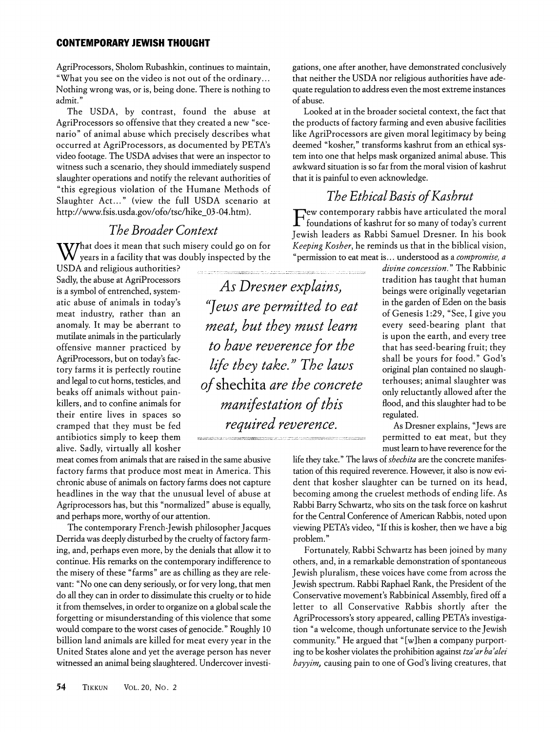#### CONTEMPORARY JEWISH THOUGHT

AgriProcessors, Sholom Rubashkin, continues to maintain, "What you see on the video is not out of the ordinary... Nothing wrong was, or is, being done. There is nothing to admit."

The USDA, by contrast, found the abuse at AgriProcessors so offensive that they created a new "sce nario" of animal abuse which precisely describes what occurred at AgriProcessors, as documented by PETA's video footage. The USDA advises that were an inspector to witness such a scenario, they should immediately suspend slaughter operations and notify the relevant authorities of "this egregious violation of the Humane Methods of Slaughter Act..." (view the full USDA scenario at http://www.fsis.usda.gov/ofo/tsc/hike\_03-04.htm).

## The Broader Context

**WIT** That does it mean that such misery could go on for years in a facility that was doubly inspected by the

USDA and religious authorities? Sadly, the abuse at AgriProcessors is a symbol of entrenched, system atic abuse of animals in today's meat industry, rather than an anomaly. It may be aberrant to mutilate animals in the particularly offensive manner practiced by AgriProcessors, but on today's fac tory farms it is perfectly routine and legal to cut horns, testicles, and beaks off animals without pain killers, and to confine animals for their entire lives in spaces so cramped that they must be fed antibiotics simply to keep them alive. Sadly, virtually all kosher

meat comes from animals that are raised in the same abusive factory farms that produce most meat in America. This chronic abuse of animals on factory farms does not capture headlines in the way that the unusual level of abuse at Agriprocessors has, but this "normalized" abuse is equally, and perhaps more, worthy of our attention.

The contemporary French-Jewish philosopher Jacques Derrida was deeply disturbed by the cruelty of factory farm ing, and, perhaps even more, by the denials that allow it to continue. His remarks on the contemporary indifference to the misery of these "farms" are as chilling as they are rele vant: "No one can deny seriously, or for very long, that men do all they can in order to dissimulate this cruelty or to hide it from themselves, in order to organize on a global scale the forgetting or misunderstanding of this violence that some would compare to the worst cases of genocide." Roughly 10 billion land animals are killed for meat every year in the United States alone and yet the average person has never witnessed an animal being slaughtered. Undercover investi-

As Dresner explains, "]ews are permitted to eat meat, but they must learn to have reverence for the life they take" The laws of shechita are the concrete manifestation of this required reverence.

gations, one after another, have demonstrated conclusively that neither the USDA nor religious authorities have ade quate regulation to address even the most extreme instances of abuse.

Looked at in the broader societal context, the fact that the products of factory farming and even abusive facilities like AgriProcessors are given moral legitimacy by being deemed "kosher," transforms kashrut from an ethical sys tem into one that helps mask organized animal abuse. This awkward situation is so far from the moral vision of kashrut that it is painful to even acknowledge.

## The Ethical Basis of Kashrut

Few contemporary rabbis have articulated the moral foundations of kashrut for so many of today's current Jewish leaders as Rabbi Samuel Dresner. In his book Keeping Kosher, he reminds us that in the biblical vision, "permission to eat meat is... understood as a compromise, a

> divine concession." The Rabbinic tradition has taught that human beings were originally vegetarian in the garden of Eden on the basis of Genesis 1:29, "See, I give you every seed-bearing plant that is upon the earth, and every tree that has seed-bearing fruit; they shall be yours for food." God's original plan contained no slaugh terhouses; animal slaughter was only reluctantly allowed after the flood, and this slaughter had to be regulated.

> As Dresner explains, "Jews are permitted to eat meat, but they must learn to have reverence for the

life they take." The laws of *shechita* are the concrete manifestation of this required reverence. However, it also is now evi dent that kosher slaughter can be turned on its head, becoming among the crudest methods of ending life. As Rabbi Barry Schwartz, who sits on the task force on kashrut for the Central Conference of American Rabbis, noted upon viewing PETA's video, "If this is kosher, then we have a big problem."

Fortunately, Rabbi Schwartz has been joined by many others, and, in a remarkable demonstration of spontaneous Jewish pluralism, these voices have come from across the Jewish spectrum. Rabbi Raphael Rank, the President of the Conservative movement's Rabbinical Assembly, fired off a letter to all Conservative Rabbis shortly after the AgriProcessors's story appeared, calling PETA's investiga tion "a welcome, though unfortunate service to the Jewish community." He argued that "[w]hen a company purport ing to be kosher violates the prohibition against tza'ar ba'alei hayyim, causing pain to one of God's living creatures, that